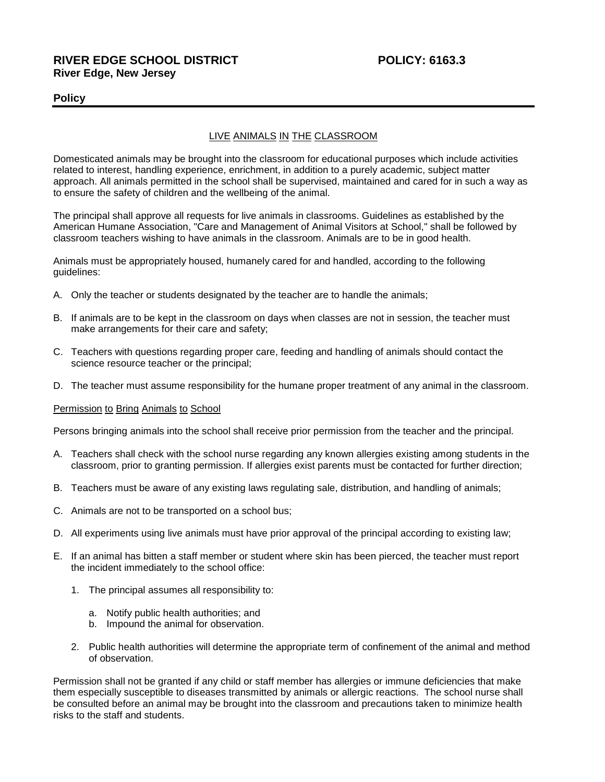# **RIVER EDGE SCHOOL DISTRICT POLICY: 6163.3 River Edge, New Jersey**

## **Policy**

## LIVE ANIMALS IN THE CLASSROOM

Domesticated animals may be brought into the classroom for educational purposes which include activities related to interest, handling experience, enrichment, in addition to a purely academic, subject matter approach. All animals permitted in the school shall be supervised, maintained and cared for in such a way as to ensure the safety of children and the wellbeing of the animal.

The principal shall approve all requests for live animals in classrooms. Guidelines as established by the American Humane Association, "Care and Management of Animal Visitors at School," shall be followed by classroom teachers wishing to have animals in the classroom. Animals are to be in good health.

Animals must be appropriately housed, humanely cared for and handled, according to the following guidelines:

- A. Only the teacher or students designated by the teacher are to handle the animals;
- B. If animals are to be kept in the classroom on days when classes are not in session, the teacher must make arrangements for their care and safety;
- C. Teachers with questions regarding proper care, feeding and handling of animals should contact the science resource teacher or the principal;
- D. The teacher must assume responsibility for the humane proper treatment of any animal in the classroom.

#### Permission to Bring Animals to School

Persons bringing animals into the school shall receive prior permission from the teacher and the principal.

- A. Teachers shall check with the school nurse regarding any known allergies existing among students in the classroom, prior to granting permission. If allergies exist parents must be contacted for further direction;
- B. Teachers must be aware of any existing laws regulating sale, distribution, and handling of animals;
- C. Animals are not to be transported on a school bus;
- D. All experiments using live animals must have prior approval of the principal according to existing law;
- E. If an animal has bitten a staff member or student where skin has been pierced, the teacher must report the incident immediately to the school office:
	- 1. The principal assumes all responsibility to:
		- a. Notify public health authorities; and
		- b. Impound the animal for observation.
	- 2. Public health authorities will determine the appropriate term of confinement of the animal and method of observation.

Permission shall not be granted if any child or staff member has allergies or immune deficiencies that make them especially susceptible to diseases transmitted by animals or allergic reactions. The school nurse shall be consulted before an animal may be brought into the classroom and precautions taken to minimize health risks to the staff and students.